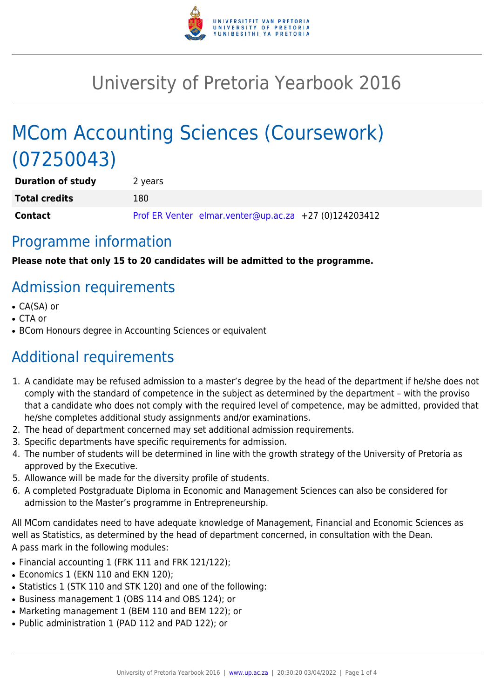

# University of Pretoria Yearbook 2016

# MCom Accounting Sciences (Coursework) (07250043)

| <b>Duration of study</b> | 2 years |                                                       |  |
|--------------------------|---------|-------------------------------------------------------|--|
| <b>Total credits</b>     | 180     |                                                       |  |
| Contact                  |         | Prof ER Venter elmar.venter@up.ac.za +27 (0)124203412 |  |

### Programme information

**Please note that only 15 to 20 candidates will be admitted to the programme.**

# Admission requirements

- CA(SA) or
- CTA or
- BCom Honours degree in Accounting Sciences or equivalent

# Additional requirements

- 1. A candidate may be refused admission to a master's degree by the head of the department if he/she does not comply with the standard of competence in the subject as determined by the department – with the proviso that a candidate who does not comply with the required level of competence, may be admitted, provided that he/she completes additional study assignments and/or examinations.
- 2. The head of department concerned may set additional admission requirements.
- 3. Specific departments have specific requirements for admission.
- 4. The number of students will be determined in line with the growth strategy of the University of Pretoria as approved by the Executive.
- 5. Allowance will be made for the diversity profile of students.
- 6. A completed Postgraduate Diploma in Economic and Management Sciences can also be considered for admission to the Master's programme in Entrepreneurship.

All MCom candidates need to have adequate knowledge of Management, Financial and Economic Sciences as well as Statistics, as determined by the head of department concerned, in consultation with the Dean. A pass mark in the following modules:

- Financial accounting 1 (FRK 111 and FRK 121/122);
- Economics 1 (EKN 110 and EKN 120);
- Statistics 1 (STK 110 and STK 120) and one of the following:
- Business management 1 (OBS 114 and OBS 124); or
- Marketing management 1 (BEM 110 and BEM 122); or
- Public administration 1 (PAD 112 and PAD 122); or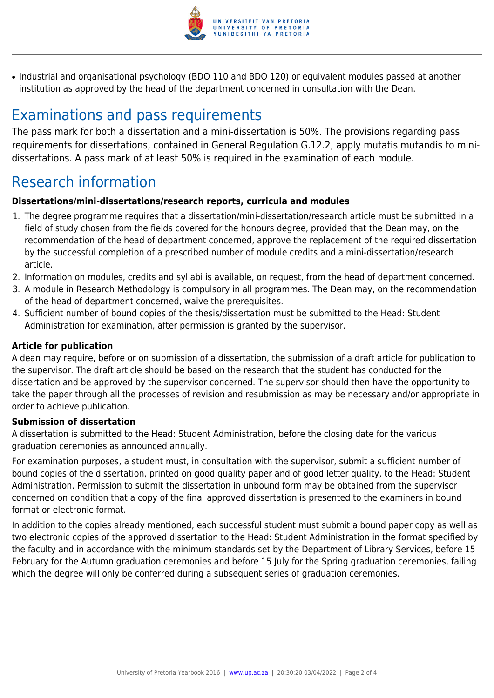

• Industrial and organisational psychology (BDO 110 and BDO 120) or equivalent modules passed at another institution as approved by the head of the department concerned in consultation with the Dean.

## Examinations and pass requirements

The pass mark for both a dissertation and a mini-dissertation is 50%. The provisions regarding pass requirements for dissertations, contained in General Regulation G.12.2, apply mutatis mutandis to minidissertations. A pass mark of at least 50% is required in the examination of each module.

## Research information

#### **Dissertations/mini-dissertations/research reports, curricula and modules**

- 1. The degree programme requires that a dissertation/mini-dissertation/research article must be submitted in a field of study chosen from the fields covered for the honours degree, provided that the Dean may, on the recommendation of the head of department concerned, approve the replacement of the required dissertation by the successful completion of a prescribed number of module credits and a mini-dissertation/research article.
- 2. Information on modules, credits and syllabi is available, on request, from the head of department concerned.
- 3. A module in Research Methodology is compulsory in all programmes. The Dean may, on the recommendation of the head of department concerned, waive the prerequisites.
- 4. Sufficient number of bound copies of the thesis/dissertation must be submitted to the Head: Student Administration for examination, after permission is granted by the supervisor.

#### **Article for publication**

A dean may require, before or on submission of a dissertation, the submission of a draft article for publication to the supervisor. The draft article should be based on the research that the student has conducted for the dissertation and be approved by the supervisor concerned. The supervisor should then have the opportunity to take the paper through all the processes of revision and resubmission as may be necessary and/or appropriate in order to achieve publication.

#### **Submission of dissertation**

A dissertation is submitted to the Head: Student Administration, before the closing date for the various graduation ceremonies as announced annually.

For examination purposes, a student must, in consultation with the supervisor, submit a sufficient number of bound copies of the dissertation, printed on good quality paper and of good letter quality, to the Head: Student Administration. Permission to submit the dissertation in unbound form may be obtained from the supervisor concerned on condition that a copy of the final approved dissertation is presented to the examiners in bound format or electronic format.

In addition to the copies already mentioned, each successful student must submit a bound paper copy as well as two electronic copies of the approved dissertation to the Head: Student Administration in the format specified by the faculty and in accordance with the minimum standards set by the Department of Library Services, before 15 February for the Autumn graduation ceremonies and before 15 July for the Spring graduation ceremonies, failing which the degree will only be conferred during a subsequent series of graduation ceremonies.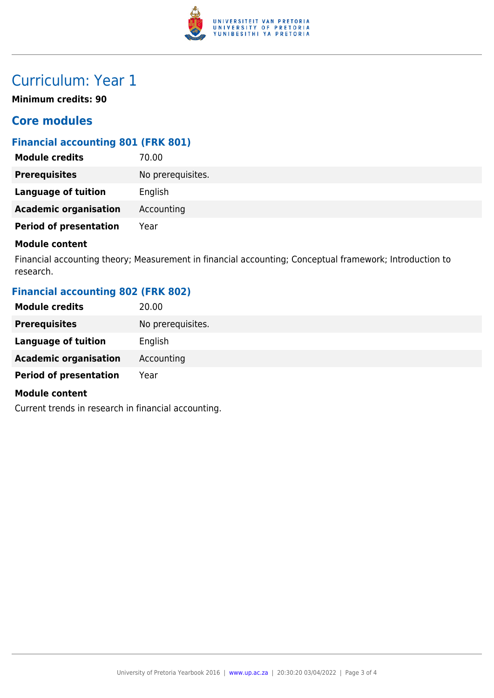

## Curriculum: Year 1

**Minimum credits: 90**

### **Core modules**

### **Financial accounting 801 (FRK 801)**

| 70.00             |
|-------------------|
| No prerequisites. |
| English           |
| Accounting        |
| Year              |
|                   |

#### **Module content**

Financial accounting theory; Measurement in financial accounting; Conceptual framework; Introduction to research.

### **Financial accounting 802 (FRK 802)**

| <b>Module credits</b>         | 20.00             |
|-------------------------------|-------------------|
| <b>Prerequisites</b>          | No prerequisites. |
| <b>Language of tuition</b>    | English           |
| <b>Academic organisation</b>  | Accounting        |
| <b>Period of presentation</b> | Year              |
| <b>Module content</b>         |                   |

Current trends in research in financial accounting.